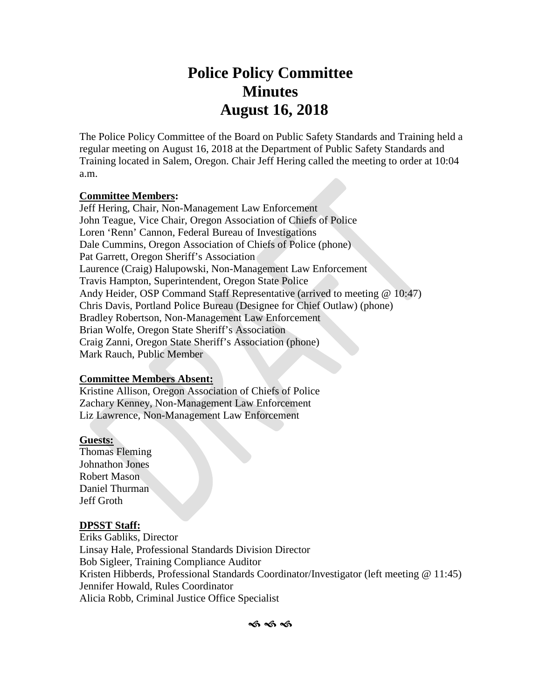# **Police Policy Committee Minutes August 16, 2018**

The Police Policy Committee of the Board on Public Safety Standards and Training held a regular meeting on August 16, 2018 at the Department of Public Safety Standards and Training located in Salem, Oregon. Chair Jeff Hering called the meeting to order at 10:04 a.m.

#### **Committee Members:**

Jeff Hering, Chair, Non-Management Law Enforcement John Teague, Vice Chair, Oregon Association of Chiefs of Police Loren 'Renn' Cannon, Federal Bureau of Investigations Dale Cummins, Oregon Association of Chiefs of Police (phone) Pat Garrett, Oregon Sheriff's Association Laurence (Craig) Halupowski, Non-Management Law Enforcement Travis Hampton, Superintendent, Oregon State Police Andy Heider, OSP Command Staff Representative (arrived to meeting @ 10:47) Chris Davis, Portland Police Bureau (Designee for Chief Outlaw) (phone) Bradley Robertson, Non-Management Law Enforcement Brian Wolfe, Oregon State Sheriff's Association Craig Zanni, Oregon State Sheriff's Association (phone) Mark Rauch, Public Member

## **Committee Members Absent:**

Kristine Allison, Oregon Association of Chiefs of Police Zachary Kenney, Non-Management Law Enforcement Liz Lawrence, Non-Management Law Enforcement

## **Guests:**

Thomas Fleming Johnathon Jones Robert Mason Daniel Thurman Jeff Groth

## **DPSST Staff:**

Eriks Gabliks, Director Linsay Hale, Professional Standards Division Director Bob Sigleer, Training Compliance Auditor Kristen Hibberds, Professional Standards Coordinator/Investigator (left meeting @ 11:45) Jennifer Howald, Rules Coordinator Alicia Robb, Criminal Justice Office Specialist

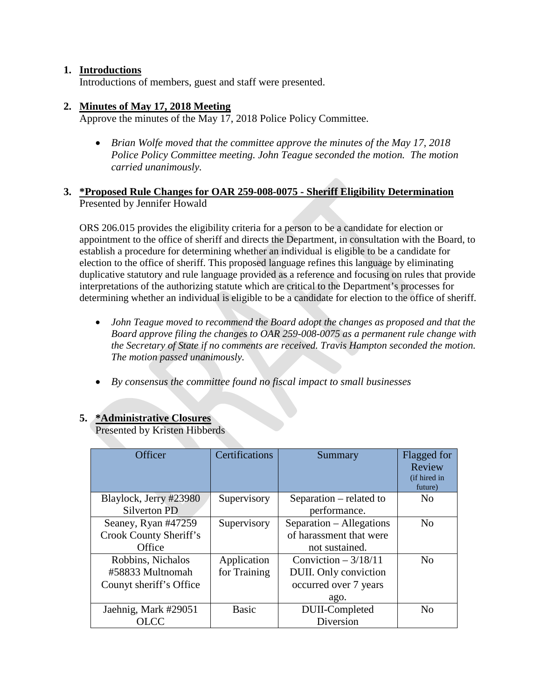## **1. Introductions**

Introductions of members, guest and staff were presented.

#### **2. Minutes of May 17, 2018 Meeting**

Approve the minutes of the May 17, 2018 Police Policy Committee.

• *Brian Wolfe moved that the committee approve the minutes of the May 17, 2018 Police Policy Committee meeting. John Teague seconded the motion. The motion carried unanimously.*

#### **3. \*Proposed Rule Changes for OAR 259-008-0075 - Sheriff Eligibility Determination** Presented by Jennifer Howald

ORS 206.015 provides the eligibility criteria for a person to be a candidate for election or appointment to the office of sheriff and directs the Department, in consultation with the Board, to establish a procedure for determining whether an individual is eligible to be a candidate for election to the office of sheriff. This proposed language refines this language by eliminating duplicative statutory and rule language provided as a reference and focusing on rules that provide interpretations of the authorizing statute which are critical to the Department's processes for determining whether an individual is eligible to be a candidate for election to the office of sheriff.

- *John Teague moved to recommend the Board adopt the changes as proposed and that the Board approve filing the changes to OAR 259-008-0075 as a permanent rule change with the Secretary of State if no comments are received. Travis Hampton seconded the motion. The motion passed unanimously.*
- *By consensus the committee found no fiscal impact to small businesses*

## **5. \*Administrative Closures**

Presented by Kristen Hibberds

| Officer                 | Certifications | Summary                  | Flagged for<br>Review<br>(if hired in<br>future) |
|-------------------------|----------------|--------------------------|--------------------------------------------------|
| Blaylock, Jerry #23980  | Supervisory    | Separation – related to  | N <sub>0</sub>                                   |
| <b>Silverton PD</b>     |                | performance.             |                                                  |
| Seaney, Ryan #47259     | Supervisory    | Separation - Allegations | N <sub>0</sub>                                   |
| Crook County Sheriff's  |                | of harassment that were  |                                                  |
| Office                  |                | not sustained.           |                                                  |
| Robbins, Nichalos       | Application    | Conviction $-3/18/11$    | N <sub>0</sub>                                   |
| #58833 Multnomah        | for Training   | DUII. Only conviction    |                                                  |
| Counyt sheriff's Office |                | occurred over 7 years    |                                                  |
|                         |                | ago.                     |                                                  |
| Jaehnig, Mark #29051    | <b>Basic</b>   | DUII-Completed           | $\rm No$                                         |
| OLCC.                   |                | Diversion                |                                                  |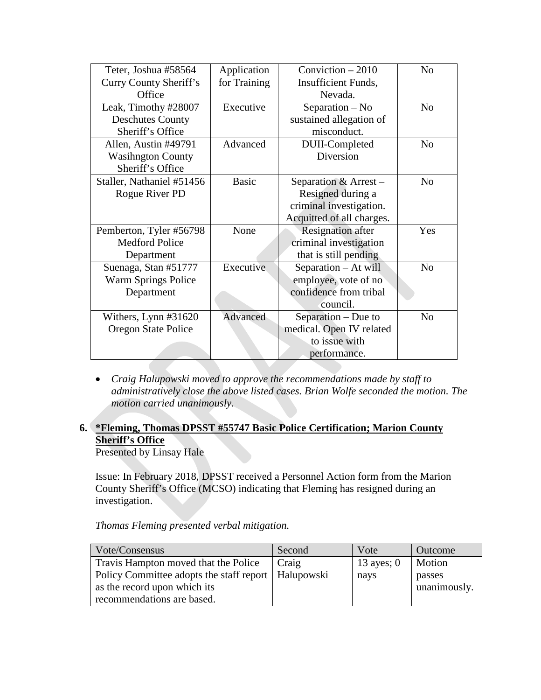| Teter, Joshua #58564      | Application  | Conviction $-2010$        | N <sub>0</sub> |
|---------------------------|--------------|---------------------------|----------------|
| Curry County Sheriff's    | for Training | Insufficient Funds,       |                |
| Office                    |              | Nevada.                   |                |
| Leak, Timothy #28007      | Executive    | Separation – No           | N <sub>o</sub> |
| <b>Deschutes County</b>   |              | sustained allegation of   |                |
| Sheriff's Office          |              | misconduct.               |                |
| Allen, Austin #49791      | Advanced     | DUII-Completed            | N <sub>o</sub> |
| <b>Wasihngton County</b>  |              | Diversion                 |                |
| Sheriff's Office          |              |                           |                |
| Staller, Nathaniel #51456 | <b>Basic</b> | Separation & Arrest-      | N <sub>0</sub> |
| Rogue River PD            |              | Resigned during a         |                |
|                           |              | criminal investigation.   |                |
|                           |              | Acquitted of all charges. |                |
| Pemberton, Tyler #56798   | None         | <b>Resignation</b> after  | Yes            |
| <b>Medford Police</b>     |              | criminal investigation    |                |
| Department                |              | that is still pending     |                |
| Suenaga, Stan #51777      | Executive    | Separation - At will      | N <sub>0</sub> |
| Warm Springs Police       |              | employee, vote of no      |                |
| Department                |              | confidence from tribal    |                |
|                           |              | council.                  |                |
| Withers, Lynn #31620      | Advanced     | Separation – Due to       | N <sub>o</sub> |
| Oregon State Police       |              | medical. Open IV related  |                |
|                           |              | to issue with             |                |
|                           |              | performance.              |                |

• *Craig Halupowski moved to approve the recommendations made by staff to administratively close the above listed cases. Brian Wolfe seconded the motion. The motion carried unanimously.* 

## **6. \*Fleming, Thomas DPSST #55747 Basic Police Certification; Marion County Sheriff's Office**

Presented by Linsay Hale

Issue: In February 2018, DPSST received a Personnel Action form from the Marion County Sheriff's Office (MCSO) indicating that Fleming has resigned during an investigation.

*Thomas Fleming presented verbal mitigation.*

| Vote/Consensus                                        | Second | Vote         | Outcome      |
|-------------------------------------------------------|--------|--------------|--------------|
| Travis Hampton moved that the Police                  | Craig  | 13 ayes; $0$ | Motion       |
| Policy Committee adopts the staff report   Halupowski |        | nays         | passes       |
| as the record upon which its                          |        |              | unanimously. |
| recommendations are based.                            |        |              |              |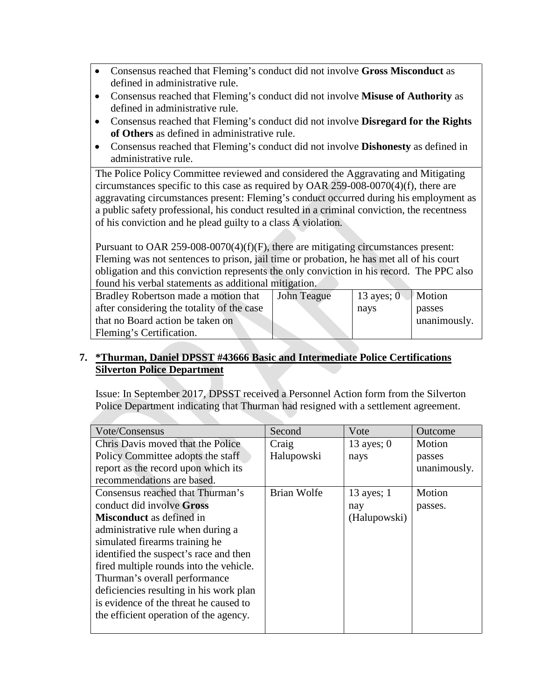- Consensus reached that Fleming's conduct did not involve **Gross Misconduct** as defined in administrative rule.
- Consensus reached that Fleming's conduct did not involve **Misuse of Authority** as defined in administrative rule.
- Consensus reached that Fleming's conduct did not involve **Disregard for the Rights of Others** as defined in administrative rule.
- Consensus reached that Fleming's conduct did not involve **Dishonesty** as defined in administrative rule.

The Police Policy Committee reviewed and considered the Aggravating and Mitigating circumstances specific to this case as required by OAR 259-008-0070(4)(f), there are aggravating circumstances present: Fleming's conduct occurred during his employment as a public safety professional, his conduct resulted in a criminal conviction, the recentness of his conviction and he plead guilty to a class A violation.

Pursuant to OAR 259-008-0070(4)(f)(F), there are mitigating circumstances present: Fleming was not sentences to prison, jail time or probation, he has met all of his court obligation and this conviction represents the only conviction in his record. The PPC also found his verbal statements as additional mitigation.

| Bradley Robertson made a motion that       | John Teague | 13 ayes; $01$ | Motion       |
|--------------------------------------------|-------------|---------------|--------------|
| after considering the totality of the case |             | nays          | passes       |
| that no Board action be taken on           |             |               | unanimously. |
| Fleming's Certification.                   |             |               |              |

## **7. \*Thurman, Daniel DPSST #43666 Basic and Intermediate Police Certifications Silverton Police Department**

Issue: In September 2017, DPSST received a Personnel Action form from the Silverton Police Department indicating that Thurman had resigned with a settlement agreement.

| Vote/Consensus                          | Second      | Vote         | Outcome      |
|-----------------------------------------|-------------|--------------|--------------|
| Chris Davis moved that the Police       | Craig       | 13 ayes; $0$ | Motion       |
| Policy Committee adopts the staff       | Halupowski  | nays         | passes       |
| report as the record upon which its     |             |              | unanimously. |
| recommendations are based.              |             |              |              |
| Consensus reached that Thurman's        | Brian Wolfe | 13 ayes; $1$ | Motion       |
| conduct did involve Gross               |             | nay          | passes.      |
| <b>Misconduct</b> as defined in         |             | (Halupowski) |              |
| administrative rule when during a       |             |              |              |
| simulated firearms training he          |             |              |              |
| identified the suspect's race and then  |             |              |              |
| fired multiple rounds into the vehicle. |             |              |              |
| Thurman's overall performance           |             |              |              |
| deficiencies resulting in his work plan |             |              |              |
| is evidence of the threat he caused to  |             |              |              |
| the efficient operation of the agency.  |             |              |              |
|                                         |             |              |              |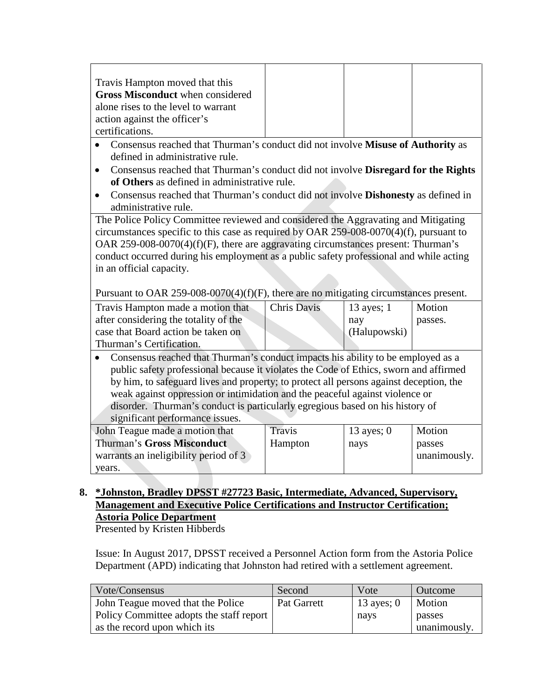| Travis Hampton moved that this                                                                                      |                    |              |              |
|---------------------------------------------------------------------------------------------------------------------|--------------------|--------------|--------------|
| <b>Gross Misconduct</b> when considered                                                                             |                    |              |              |
| alone rises to the level to warrant                                                                                 |                    |              |              |
| action against the officer's                                                                                        |                    |              |              |
| certifications.                                                                                                     |                    |              |              |
| Consensus reached that Thurman's conduct did not involve Misuse of Authority as                                     |                    |              |              |
| defined in administrative rule.                                                                                     |                    |              |              |
| Consensus reached that Thurman's conduct did not involve Disregard for the Rights<br>$\bullet$                      |                    |              |              |
| of Others as defined in administrative rule.                                                                        |                    |              |              |
| Consensus reached that Thurman's conduct did not involve <b>Dishonesty</b> as defined in<br>$\bullet$               |                    |              |              |
| administrative rule.                                                                                                |                    |              |              |
| The Police Policy Committee reviewed and considered the Aggravating and Mitigating                                  |                    |              |              |
| circumstances specific to this case as required by OAR 259-008-0070(4)(f), pursuant to                              |                    |              |              |
| OAR 259-008-0070(4)(f)(F), there are aggravating circumstances present: Thurman's                                   |                    |              |              |
|                                                                                                                     |                    |              |              |
|                                                                                                                     |                    |              |              |
| conduct occurred during his employment as a public safety professional and while acting<br>in an official capacity. |                    |              |              |
|                                                                                                                     |                    |              |              |
| Pursuant to OAR 259-008-0070(4)(f)(F), there are no mitigating circumstances present.                               |                    |              |              |
|                                                                                                                     | <b>Chris Davis</b> | 13 ayes; 1   | Motion       |
| Travis Hampton made a motion that                                                                                   |                    |              |              |
| after considering the totality of the                                                                               |                    | nay          | passes.      |
|                                                                                                                     |                    | (Halupowski) |              |
| case that Board action be taken on<br>Thurman's Certification.                                                      |                    |              |              |
| Consensus reached that Thurman's conduct impacts his ability to be employed as a                                    |                    |              |              |
| public safety professional because it violates the Code of Ethics, sworn and affirmed                               |                    |              |              |
| by him, to safeguard lives and property; to protect all persons against deception, the                              |                    |              |              |
| weak against oppression or intimidation and the peaceful against violence or                                        |                    |              |              |
| disorder. Thurman's conduct is particularly egregious based on his history of                                       |                    |              |              |
| significant performance issues.                                                                                     |                    |              |              |
| John Teague made a motion that                                                                                      | Travis             | 13 ayes; $0$ | Motion       |
| <b>Thurman's Gross Misconduct</b>                                                                                   | Hampton            | nays         | passes       |
| warrants an ineligibility period of 3<br>years.                                                                     |                    |              | unanimously. |

## **Management and Executive Police Certifications and Instructor Certification; Astoria Police Department**

Presented by Kristen Hibberds

Issue: In August 2017, DPSST received a Personnel Action form from the Astoria Police Department (APD) indicating that Johnston had retired with a settlement agreement.

| Vote/Consensus                           | Second      | Vote         | Outcome      |
|------------------------------------------|-------------|--------------|--------------|
| John Teague moved that the Police        | Pat Garrett | 13 ayes; $0$ | Motion       |
| Policy Committee adopts the staff report |             | nays         | passes       |
| as the record upon which its             |             |              | unanimously. |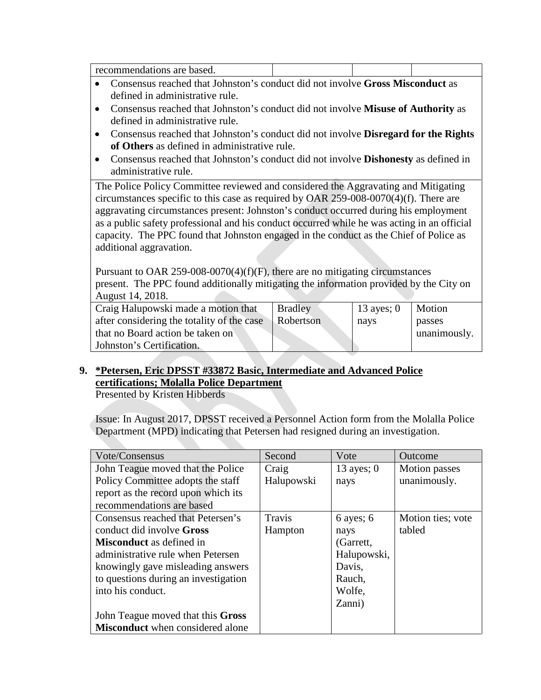- Consensus reached that Johnston's conduct did not involve **Gross Misconduct** as defined in administrative rule.
- Consensus reached that Johnston's conduct did not involve **Misuse of Authority** as defined in administrative rule.
- Consensus reached that Johnston's conduct did not involve **Disregard for the Rights of Others** as defined in administrative rule.
- Consensus reached that Johnston's conduct did not involve **Dishonesty** as defined in administrative rule.

The Police Policy Committee reviewed and considered the Aggravating and Mitigating circumstances specific to this case as required by OAR 259-008-0070(4)(f). There are aggravating circumstances present: Johnston's conduct occurred during his employment as a public safety professional and his conduct occurred while he was acting in an official capacity. The PPC found that Johnston engaged in the conduct as the Chief of Police as additional aggravation.

Pursuant to OAR 259-008-0070(4)(f)(F), there are no mitigating circumstances present. The PPC found additionally mitigating the information provided by the City on August 14, 2018.

| Craig Halupowski made a motion that        | <b>Bradley</b> | 13 ayes; $0$ | Motion       |
|--------------------------------------------|----------------|--------------|--------------|
| after considering the totality of the case | Robertson      | nays         | passes       |
| that no Board action be taken on           |                |              | unanimously. |
| Johnston's Certification.                  |                |              |              |

## **9. \*Petersen, Eric DPSST #33872 Basic, Intermediate and Advanced Police certifications; Molalla Police Department**

Presented by Kristen Hibberds

Issue: In August 2017, DPSST received a Personnel Action form from the Molalla Police Department (MPD) indicating that Petersen had resigned during an investigation.

| Vote/Consensus                          | Second     | Vote          | Outcome           |
|-----------------------------------------|------------|---------------|-------------------|
| John Teague moved that the Police       | Craig      | 13 ayes; $0$  | Motion passes     |
| Policy Committee adopts the staff       | Halupowski | nays          | unanimously.      |
| report as the record upon which its     |            |               |                   |
| recommendations are based               |            |               |                   |
| Consensus reached that Petersen's       | Travis     | $6$ ayes; $6$ | Motion ties; vote |
| conduct did involve Gross               | Hampton    | nays          | tabled            |
| <b>Misconduct</b> as defined in         |            | (Garrett,     |                   |
| administrative rule when Petersen       |            | Halupowski,   |                   |
| knowingly gave misleading answers       |            | Davis,        |                   |
| to questions during an investigation    |            | Rauch,        |                   |
| into his conduct.                       |            | Wolfe,        |                   |
|                                         |            | Zanni)        |                   |
| John Teague moved that this Gross       |            |               |                   |
| <b>Misconduct</b> when considered alone |            |               |                   |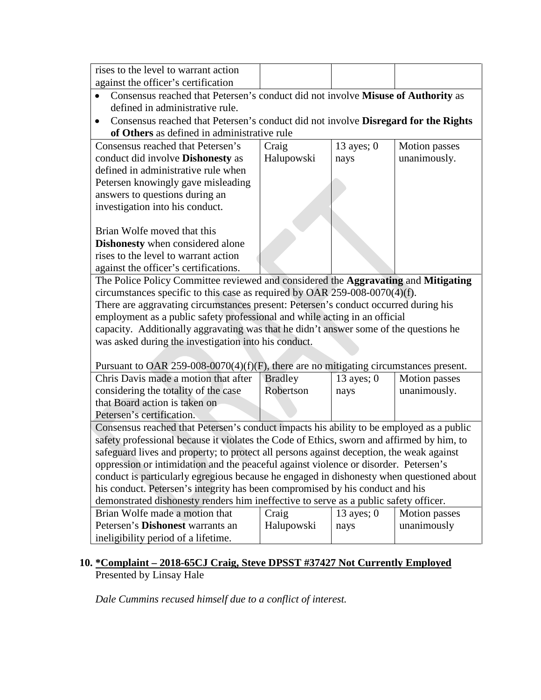| rises to the level to warrant action |  |  |
|--------------------------------------|--|--|
| against the officer's certification  |  |  |

- Consensus reached that Petersen's conduct did not involve **Misuse of Authority** as defined in administrative rule.
- Consensus reached that Petersen's conduct did not involve **Disregard for the Rights of Others** as defined in administrative rule

| of Others as actined in administrative rate                                                      |            |              |               |
|--------------------------------------------------------------------------------------------------|------------|--------------|---------------|
| Consensus reached that Petersen's                                                                | Craig      | 13 ayes; $0$ | Motion passes |
| conduct did involve <b>Dishonesty</b> as                                                         | Halupowski | nays         | unanimously.  |
| defined in administrative rule when                                                              |            |              |               |
| Petersen knowingly gave misleading                                                               |            |              |               |
| answers to questions during an                                                                   |            |              |               |
| investigation into his conduct.                                                                  |            |              |               |
|                                                                                                  |            |              |               |
| Brian Wolfe moved that this                                                                      |            |              |               |
| <b>Dishonesty</b> when considered alone                                                          |            |              |               |
| rises to the level to warrant action                                                             |            |              |               |
| against the officer's certifications.                                                            |            |              |               |
| The Police Policy Committee reviewed and considered the <b>Aggravating</b> and <b>Mitigating</b> |            |              |               |
| circumstances specific to this case as required by OAR $259-008-0070(4)(f)$ .                    |            |              |               |
| There are aggravating circumstances present: Petersen's conduct occurred during his              |            |              |               |
| employment as a public safety professional and while acting in an official                       |            |              |               |
| capacity. Additionally aggravating was that he didn't answer some of the questions he            |            |              |               |
| was asked during the investigation into his conduct.                                             |            |              |               |
|                                                                                                  |            |              |               |
| Purguant to $\Omega$ AR 259-008-0070(A)(f)(F) there are no mitigating circumstances present      |            |              |               |

| Pursuant to OAR 259-008-0070(4)(f)(F), there are no mitigating circumstances present.     |                |              |               |
|-------------------------------------------------------------------------------------------|----------------|--------------|---------------|
| Chris Davis made a motion that after                                                      | <b>Bradley</b> | $13$ ayes; 0 | Motion passes |
| considering the totality of the case                                                      | Robertson      | nays         | unanimously.  |
| that Board action is taken on                                                             |                |              |               |
| Petersen's certification.                                                                 |                |              |               |
| Consensus reached that Petersen's conduct impacts his ability to be employed as a public  |                |              |               |
| safety professional because it violates the Code of Ethics, sworn and affirmed by him, to |                |              |               |
| safeguard lives and property; to protect all persons against deception, the weak against  |                |              |               |
| oppression or intimidation and the peaceful against violence or disorder. Petersen's      |                |              |               |
| conduct is particularly egregious because he engaged in dishonesty when questioned about  |                |              |               |
| his conduct. Petersen's integrity has been compromised by his conduct and his             |                |              |               |
| demonstrated dishonesty renders him ineffective to serve as a public safety officer.      |                |              |               |
| Brian Wolfe made a motion that                                                            | Craig          | 13 ayes; $0$ | Motion passes |
| Petersen's <b>Dishonest</b> warrants an                                                   | Halupowski     | nays         | unanimously   |
| ineligibility period of a lifetime.                                                       |                |              |               |

## **10. \*Complaint – 2018-65CJ Craig, Steve DPSST #37427 Not Currently Employed** Presented by Linsay Hale

*Dale Cummins recused himself due to a conflict of interest.*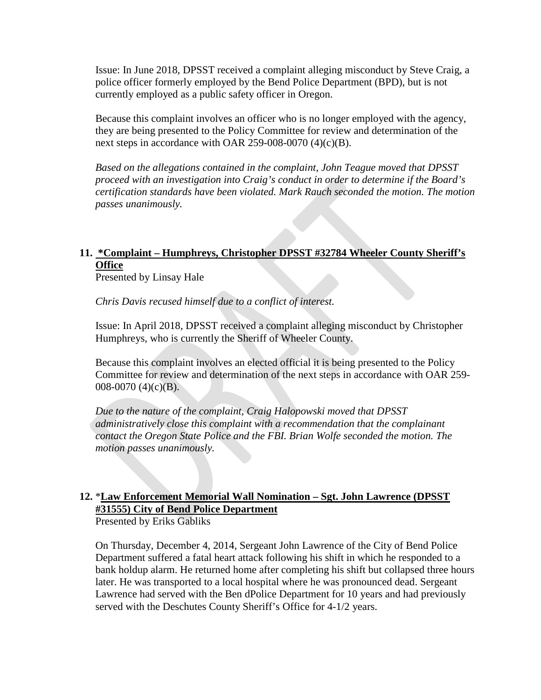Issue: In June 2018, DPSST received a complaint alleging misconduct by Steve Craig, a police officer formerly employed by the Bend Police Department (BPD), but is not currently employed as a public safety officer in Oregon.

Because this complaint involves an officer who is no longer employed with the agency, they are being presented to the Policy Committee for review and determination of the next steps in accordance with OAR 259-008-0070 (4)(c)(B).

*Based on the allegations contained in the complaint, John Teague moved that DPSST proceed with an investigation into Craig's conduct in order to determine if the Board's certification standards have been violated. Mark Rauch seconded the motion. The motion passes unanimously.*

## **11. \*Complaint – Humphreys, Christopher DPSST #32784 Wheeler County Sheriff's Office**

Presented by Linsay Hale

*Chris Davis recused himself due to a conflict of interest.*

Issue: In April 2018, DPSST received a complaint alleging misconduct by Christopher Humphreys, who is currently the Sheriff of Wheeler County.

Because this complaint involves an elected official it is being presented to the Policy Committee for review and determination of the next steps in accordance with OAR 259- 008-0070 (4)(c)(B).

*Due to the nature of the complaint, Craig Halopowski moved that DPSST administratively close this complaint with a recommendation that the complainant contact the Oregon State Police and the FBI. Brian Wolfe seconded the motion. The motion passes unanimously.*

## **12.** \***Law Enforcement Memorial Wall Nomination – Sgt. John Lawrence (DPSST #31555) City of Bend Police Department**

Presented by Eriks Gabliks

On Thursday, December 4, 2014, Sergeant John Lawrence of the City of Bend Police Department suffered a fatal heart attack following his shift in which he responded to a bank holdup alarm. He returned home after completing his shift but collapsed three hours later. He was transported to a local hospital where he was pronounced dead. Sergeant Lawrence had served with the Ben dPolice Department for 10 years and had previously served with the Deschutes County Sheriff's Office for 4-1/2 years.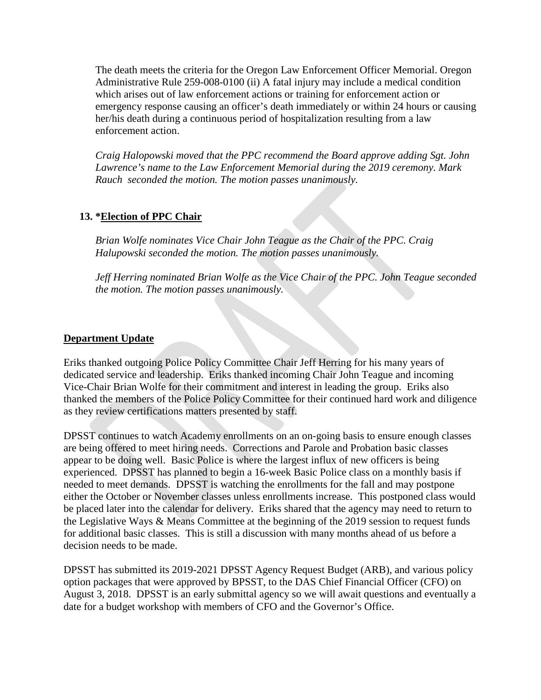The death meets the criteria for the Oregon Law Enforcement Officer Memorial. Oregon Administrative Rule 259-008-0100 (ii) A fatal injury may include a medical condition which arises out of law enforcement actions or training for enforcement action or emergency response causing an officer's death immediately or within 24 hours or causing her/his death during a continuous period of hospitalization resulting from a law enforcement action.

*Craig Halopowski moved that the PPC recommend the Board approve adding Sgt. John Lawrence's name to the Law Enforcement Memorial during the 2019 ceremony. Mark Rauch seconded the motion. The motion passes unanimously.*

#### **13. \*Election of PPC Chair**

*Brian Wolfe nominates Vice Chair John Teague as the Chair of the PPC. Craig Halupowski seconded the motion. The motion passes unanimously.*

*Jeff Herring nominated Brian Wolfe as the Vice Chair of the PPC. John Teague seconded the motion. The motion passes unanimously.*

#### **Department Update**

Eriks thanked outgoing Police Policy Committee Chair Jeff Herring for his many years of dedicated service and leadership. Eriks thanked incoming Chair John Teague and incoming Vice-Chair Brian Wolfe for their commitment and interest in leading the group. Eriks also thanked the members of the Police Policy Committee for their continued hard work and diligence as they review certifications matters presented by staff.

DPSST continues to watch Academy enrollments on an on-going basis to ensure enough classes are being offered to meet hiring needs. Corrections and Parole and Probation basic classes appear to be doing well. Basic Police is where the largest influx of new officers is being experienced. DPSST has planned to begin a 16-week Basic Police class on a monthly basis if needed to meet demands. DPSST is watching the enrollments for the fall and may postpone either the October or November classes unless enrollments increase. This postponed class would be placed later into the calendar for delivery. Eriks shared that the agency may need to return to the Legislative Ways & Means Committee at the beginning of the 2019 session to request funds for additional basic classes. This is still a discussion with many months ahead of us before a decision needs to be made.

DPSST has submitted its 2019-2021 DPSST Agency Request Budget (ARB), and various policy option packages that were approved by BPSST, to the DAS Chief Financial Officer (CFO) on August 3, 2018. DPSST is an early submittal agency so we will await questions and eventually a date for a budget workshop with members of CFO and the Governor's Office.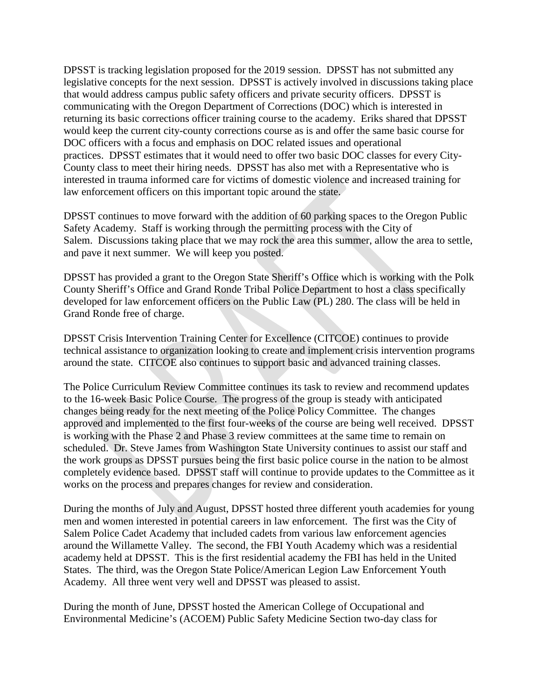DPSST is tracking legislation proposed for the 2019 session. DPSST has not submitted any legislative concepts for the next session. DPSST is actively involved in discussions taking place that would address campus public safety officers and private security officers. DPSST is communicating with the Oregon Department of Corrections (DOC) which is interested in returning its basic corrections officer training course to the academy. Eriks shared that DPSST would keep the current city-county corrections course as is and offer the same basic course for DOC officers with a focus and emphasis on DOC related issues and operational practices. DPSST estimates that it would need to offer two basic DOC classes for every City-County class to meet their hiring needs. DPSST has also met with a Representative who is interested in trauma informed care for victims of domestic violence and increased training for law enforcement officers on this important topic around the state.

DPSST continues to move forward with the addition of 60 parking spaces to the Oregon Public Safety Academy. Staff is working through the permitting process with the City of Salem. Discussions taking place that we may rock the area this summer, allow the area to settle, and pave it next summer. We will keep you posted.

DPSST has provided a grant to the Oregon State Sheriff's Office which is working with the Polk County Sheriff's Office and Grand Ronde Tribal Police Department to host a class specifically developed for law enforcement officers on the Public Law (PL) 280. The class will be held in Grand Ronde free of charge.

DPSST Crisis Intervention Training Center for Excellence (CITCOE) continues to provide technical assistance to organization looking to create and implement crisis intervention programs around the state. CITCOE also continues to support basic and advanced training classes.

The Police Curriculum Review Committee continues its task to review and recommend updates to the 16-week Basic Police Course. The progress of the group is steady with anticipated changes being ready for the next meeting of the Police Policy Committee. The changes approved and implemented to the first four-weeks of the course are being well received. DPSST is working with the Phase 2 and Phase 3 review committees at the same time to remain on scheduled. Dr. Steve James from Washington State University continues to assist our staff and the work groups as DPSST pursues being the first basic police course in the nation to be almost completely evidence based. DPSST staff will continue to provide updates to the Committee as it works on the process and prepares changes for review and consideration.

During the months of July and August, DPSST hosted three different youth academies for young men and women interested in potential careers in law enforcement. The first was the City of Salem Police Cadet Academy that included cadets from various law enforcement agencies around the Willamette Valley. The second, the FBI Youth Academy which was a residential academy held at DPSST. This is the first residential academy the FBI has held in the United States. The third, was the Oregon State Police/American Legion Law Enforcement Youth Academy. All three went very well and DPSST was pleased to assist.

During the month of June, DPSST hosted the American College of Occupational and Environmental Medicine's (ACOEM) Public Safety Medicine Section two-day class for